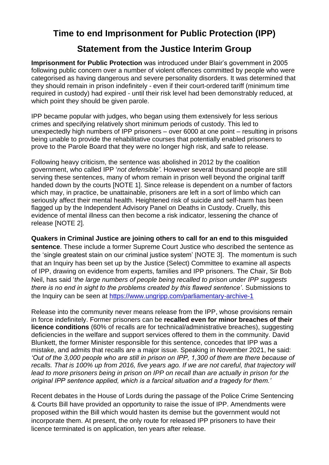## **Time to end Imprisonment for Public Protection (IPP)**

## **Statement from the Justice Interim Group**

**Imprisonment for Public Protection** was introduced under Blair's government in 2005 following public concern over a number of violent offences committed by people who were categorised as having dangerous and severe personality disorders. It was determined that they should remain in prison indefinitely - even if their court-ordered tariff (minimum time required in custody) had expired - until their risk level had been demonstrably reduced, at which point they should be given parole.

IPP became popular with judges, who began using them extensively for less serious crimes and specifying relatively short minimum periods of custody. This led to unexpectedly high numbers of IPP prisoners – over 6000 at one point – resulting in prisons being unable to provide the rehabilitative courses that potentially enabled prisoners to prove to the Parole Board that they were no longer high risk, and safe to release.

Following heavy criticism, the sentence was abolished in 2012 by the coalition government, who called IPP '*not defensible'*. However several thousand people are still serving these sentences, many of whom remain in prison well beyond the original tariff handed down by the courts [NOTE 1]. Since release is dependent on a number of factors which may, in practice, be unattainable, prisoners are left in a sort of limbo which can seriously affect their mental health. Heightened risk of suicide and self-harm has been flagged up by the Independent Advisory Panel on Deaths in Custody. Cruelly, this evidence of mental illness can then become a risk indicator, lessening the chance of release [NOTE 2].

**Quakers in Criminal Justice are joining others to call for an end to this misguided** 

**sentence**. These include a former Supreme Court Justice who described the sentence as the 'single greatest stain on our criminal justice system' [NOTE 3]. The momentum is such that an Inquiry has been set up by the Justice (Select) Committee to examine all aspects of IPP, drawing on evidence from experts, families and IPP prisoners. The Chair, Sir Bob Neil, has said '*the large numbers of people being recalled to prison under IPP suggests there is no end in sight to the problems created by this flawed sentence'*. Submissions to the Inquiry can be seen at<https://www.ungripp.com/parliamentary-archive-1>

Release into the community never means release from the IPP, whose provisions remain in force indefinitely. Former prisoners can be **recalled even for minor breaches of their licence conditions** (60% of recalls are for technical/administrative breaches), suggesting deficiencies in the welfare and support services offered to them in the community. David Blunkett, the former Minister responsible for this sentence, concedes that IPP was a mistake, and admits that recalls are a major issue. Speaking in November 2021, he said: *'Out of the 3,000 people who are still in prison on IPP, 1,300 of them are there because of recalls. That is 100% up from 2016, five years ago. If we are not careful, that trajectory will*  lead to more prisoners being in prison on IPP on recall than are actually in prison for the *original IPP sentence applied, which is a farcical situation and a tragedy for them.'*

Recent debates in the House of Lords during the passage of the Police Crime Sentencing & Courts Bill have provided an opportunity to raise the issue of IPP. Amendments were proposed within the Bill which would hasten its demise but the government would not incorporate them. At present, the only route for released IPP prisoners to have their licence terminated is on application, ten years after release.